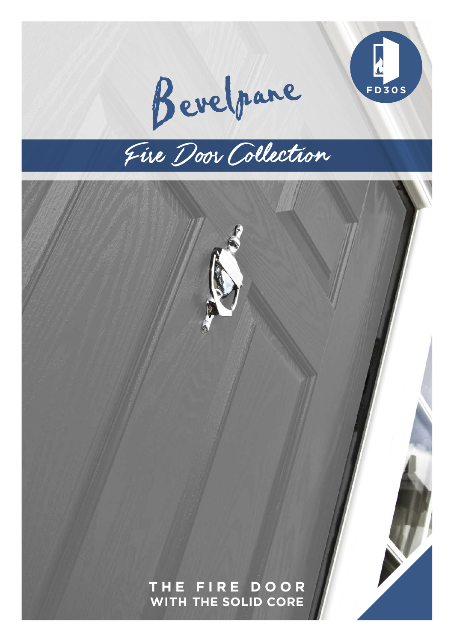

Bevelpare

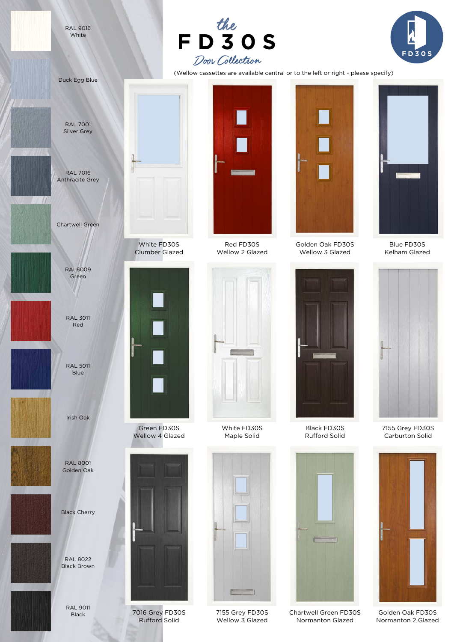RAL 9016 White





(Wellow cassettes are available central or to the left or right - please specify)



RAL 9011 Black



Red FD30S



White FD30S Maple Solid



7155 Grey FD30S Wellow 3 Glazed



Golden Oak FD30S Wellow 3 Glazed



Black FD30S Rufford Solid



Normanton Glazed



Blue FD30S Kelham Glazed



7155 Grey FD30S Carburton Solid



Golden Oak FD30S Normanton 2 Glazed



7016 Grey FD30S Rufford Solid



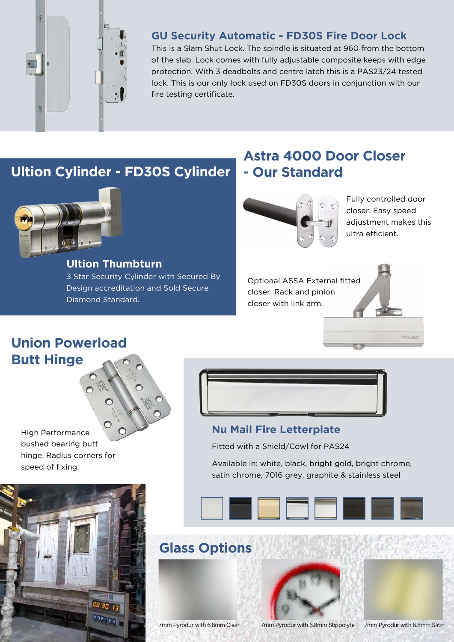

### **GU Security Automatic - FD30S Fire Door Lock**

This is a Slam Shut Lock. The spindle is situated at 960 from the bottom of the slab. Lock comes with fully adjustable composite keeps with edge protection. With 3 deadbolts and centre latch this is a PAS23/24 tested lock. This is our only lock used on FD30S doors in conjunction with our fire testing certificate.

# **Ultion Cylinder - FD30S Cylinder**



**Ultion Thumbturn**  3 Star Security Cylinder with Secured By Design accreditation and Sold Secure Diamond Standard.

# **Astra 4000 Door Closer - Our Standard**



Fully controlled door closer. Easy speed adjustment makes this ultra efficient.

**ASSA APRO** 

Optional ASSA External fitted closer. Rack and pinion closer with link arm.

# **Union Powerload Butt Hinge**

High Performance bushed bearing butt hinge. Radius corners for speed of fixing.





#### **Nu Mail Fire Letterplate**

Fitted with a Shield/Cowl for PAS24

Available in: white, black, bright gold, bright chrome, satin chrome, 7016 grey, graphite & stainless steel



# **Glass Options**



7mm Pyrodur with 6.8mm Clear 7mm Pyrodur with 6.8mm Stippolyte

7mm Pyrodur with 6.8mm Satin